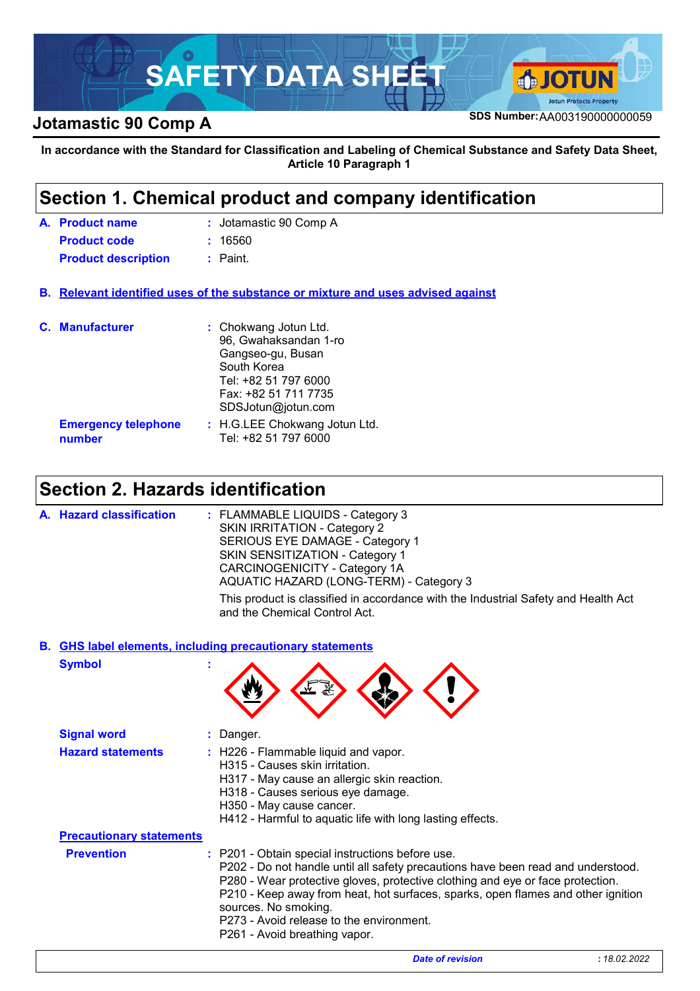

## **SDS Number:**AA003190000000059 **Jotamastic 90 Comp A**

**In accordance with the Standard for Classification and Labeling of Chemical Substance and Safety Data Sheet, Article 10 Paragraph 1**

### **Section 1. Chemical product and company identification**

| A. Product name            | : Jotamastic 90 Comp A |
|----------------------------|------------------------|
| <b>Product code</b>        | : 16560                |
| <b>Product description</b> | : Paint.               |

**Relevant identified uses of the substance or mixture and uses advised against B.**

| <b>C.</b> Manufacturer               | : Chokwang Jotun Ltd.<br>96, Gwahaksandan 1-ro<br>Gangseo-gu, Busan<br>South Korea<br>Tel: +82 51 797 6000<br>Fax: +82 51 711 7735<br>SDSJotun@jotun.com |
|--------------------------------------|----------------------------------------------------------------------------------------------------------------------------------------------------------|
| <b>Emergency telephone</b><br>number | : H.G.LEE Chokwang Jotun Ltd.<br>Tel: +82 51 797 6000                                                                                                    |

# **Section 2. Hazards identification**

| A. Hazard classification | : FLAMMABLE LIQUIDS - Category 3<br><b>SKIN IRRITATION - Category 2</b><br>SERIOUS EYE DAMAGE - Category 1<br>SKIN SENSITIZATION - Category 1<br>CARCINOGENICITY - Category 1A<br>AQUATIC HAZARD (LONG-TERM) - Category 3 |
|--------------------------|---------------------------------------------------------------------------------------------------------------------------------------------------------------------------------------------------------------------------|
|                          | This product is classified in accordance with the Industrial Safety and Health Act<br>and the Chemical Control Act.                                                                                                       |

#### **GHS label elements, including precautionary statements B.**

**Symbol :**

| <b>Signal word</b>              | : Danger.                                                                                                                                                                                                                                                                                                                                                                                                       |             |
|---------------------------------|-----------------------------------------------------------------------------------------------------------------------------------------------------------------------------------------------------------------------------------------------------------------------------------------------------------------------------------------------------------------------------------------------------------------|-------------|
| <b>Hazard statements</b>        | : H226 - Flammable liquid and vapor.<br>H315 - Causes skin irritation.<br>H317 - May cause an allergic skin reaction.<br>H318 - Causes serious eye damage.<br>H350 - May cause cancer.<br>H412 - Harmful to aquatic life with long lasting effects.                                                                                                                                                             |             |
| <b>Precautionary statements</b> |                                                                                                                                                                                                                                                                                                                                                                                                                 |             |
| <b>Prevention</b>               | : P201 - Obtain special instructions before use.<br>P202 - Do not handle until all safety precautions have been read and understood.<br>P280 - Wear protective gloves, protective clothing and eye or face protection.<br>P210 - Keep away from heat, hot surfaces, sparks, open flames and other ignition<br>sources. No smoking.<br>P273 - Avoid release to the environment.<br>P261 - Avoid breathing vapor. |             |
|                                 | <b>Date of revision</b>                                                                                                                                                                                                                                                                                                                                                                                         | :18.02.2022 |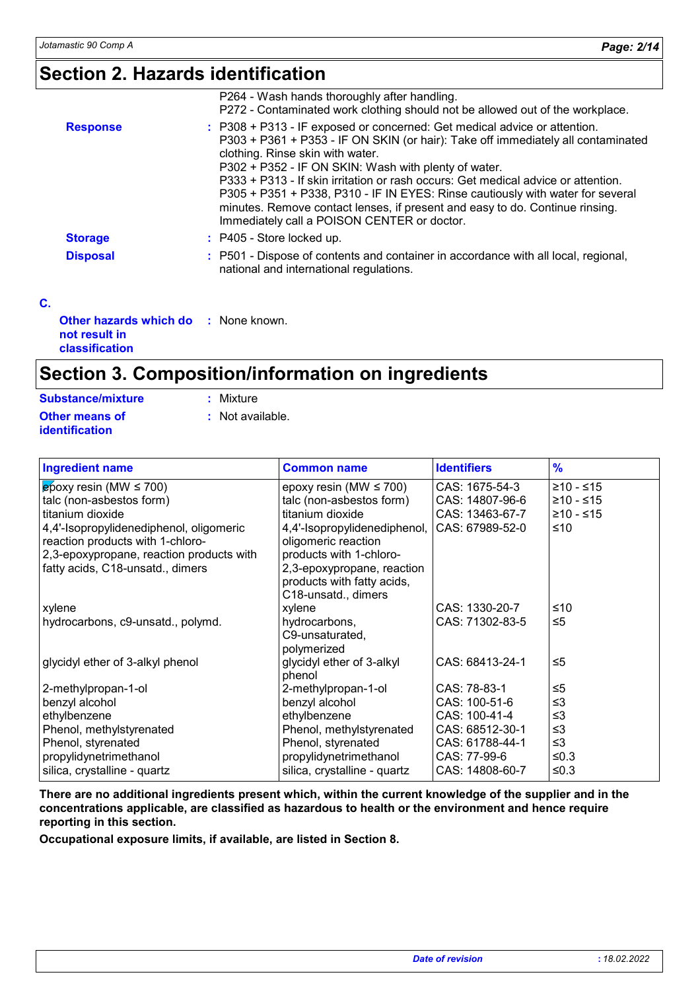# **Section 2. Hazards identification**

|                 | P264 - Wash hands thoroughly after handling.<br>P272 - Contaminated work clothing should not be allowed out of the workplace.                                                                                                                                                                                                                                                                                                                                                                                                                                   |
|-----------------|-----------------------------------------------------------------------------------------------------------------------------------------------------------------------------------------------------------------------------------------------------------------------------------------------------------------------------------------------------------------------------------------------------------------------------------------------------------------------------------------------------------------------------------------------------------------|
| <b>Response</b> | : P308 + P313 - IF exposed or concerned: Get medical advice or attention.<br>P303 + P361 + P353 - IF ON SKIN (or hair): Take off immediately all contaminated<br>clothing. Rinse skin with water.<br>P302 + P352 - IF ON SKIN: Wash with plenty of water.<br>P333 + P313 - If skin irritation or rash occurs: Get medical advice or attention.<br>P305 + P351 + P338, P310 - IF IN EYES: Rinse cautiously with water for several<br>minutes. Remove contact lenses, if present and easy to do. Continue rinsing.<br>Immediately call a POISON CENTER or doctor. |
| <b>Storage</b>  | $:$ P405 - Store locked up.                                                                                                                                                                                                                                                                                                                                                                                                                                                                                                                                     |
| <b>Disposal</b> | : P501 - Dispose of contents and container in accordance with all local, regional,<br>national and international regulations.                                                                                                                                                                                                                                                                                                                                                                                                                                   |
|                 |                                                                                                                                                                                                                                                                                                                                                                                                                                                                                                                                                                 |

**C.**

| <b>Other hazards which do : None known.</b> |  |
|---------------------------------------------|--|
| not result in                               |  |
| classification                              |  |

# **Section 3. Composition/information on ingredients**

| <b>Substance/mixture</b> | : Mixture        |
|--------------------------|------------------|
| Other means of           | : Not available. |
| identification           |                  |

| <b>Ingredient name</b>                   | <b>Common name</b>           | <b>Identifiers</b> | $\frac{9}{6}$ |
|------------------------------------------|------------------------------|--------------------|---------------|
| $\epsilon$ poxy resin (MW $\leq$ 700)    | epoxy resin (MW $\leq$ 700)  | CAS: 1675-54-3     | $≥10 - ≤15$   |
| talc (non-asbestos form)                 | talc (non-asbestos form)     | CAS: 14807-96-6    | ≥10 - ≤15     |
| titanium dioxide                         | titanium dioxide             | CAS: 13463-67-7    | $≥10 - ≤15$   |
| 4,4'-Isopropylidenediphenol, oligomeric  | 4,4'-Isopropylidenediphenol, | CAS: 67989-52-0    | ≤10           |
| reaction products with 1-chloro-         | oligomeric reaction          |                    |               |
| 2,3-epoxypropane, reaction products with | products with 1-chloro-      |                    |               |
| fatty acids, C18-unsatd., dimers         | 2,3-epoxypropane, reaction   |                    |               |
|                                          | products with fatty acids,   |                    |               |
|                                          | C18-unsatd., dimers          |                    |               |
| xylene                                   | xylene                       | CAS: 1330-20-7     | ≤10           |
| hydrocarbons, c9-unsatd., polymd.        | hydrocarbons,                | CAS: 71302-83-5    | $\leq 5$      |
|                                          | C9-unsaturated,              |                    |               |
|                                          | polymerized                  |                    |               |
| glycidyl ether of 3-alkyl phenol         | glycidyl ether of 3-alkyl    | CAS: 68413-24-1    | $\leq 5$      |
|                                          | phenol                       |                    |               |
| 2-methylpropan-1-ol                      | 2-methylpropan-1-ol          | CAS: 78-83-1       | $\leq 5$      |
| benzyl alcohol                           | benzyl alcohol               | CAS: 100-51-6      | ≤3            |
| ethylbenzene                             | ethylbenzene                 | CAS: 100-41-4      | ≤3            |
| Phenol, methylstyrenated                 | Phenol, methylstyrenated     | CAS: 68512-30-1    | $\leq$ 3      |
| Phenol, styrenated                       | Phenol, styrenated           | CAS: 61788-44-1    | $\leq$ 3      |
| propylidynetrimethanol                   | propylidynetrimethanol       | CAS: 77-99-6       | ≤0.3          |
| silica, crystalline - quartz             | silica, crystalline - quartz | CAS: 14808-60-7    | ≤0.3          |

**There are no additional ingredients present which, within the current knowledge of the supplier and in the concentrations applicable, are classified as hazardous to health or the environment and hence require reporting in this section.**

**Occupational exposure limits, if available, are listed in Section 8.**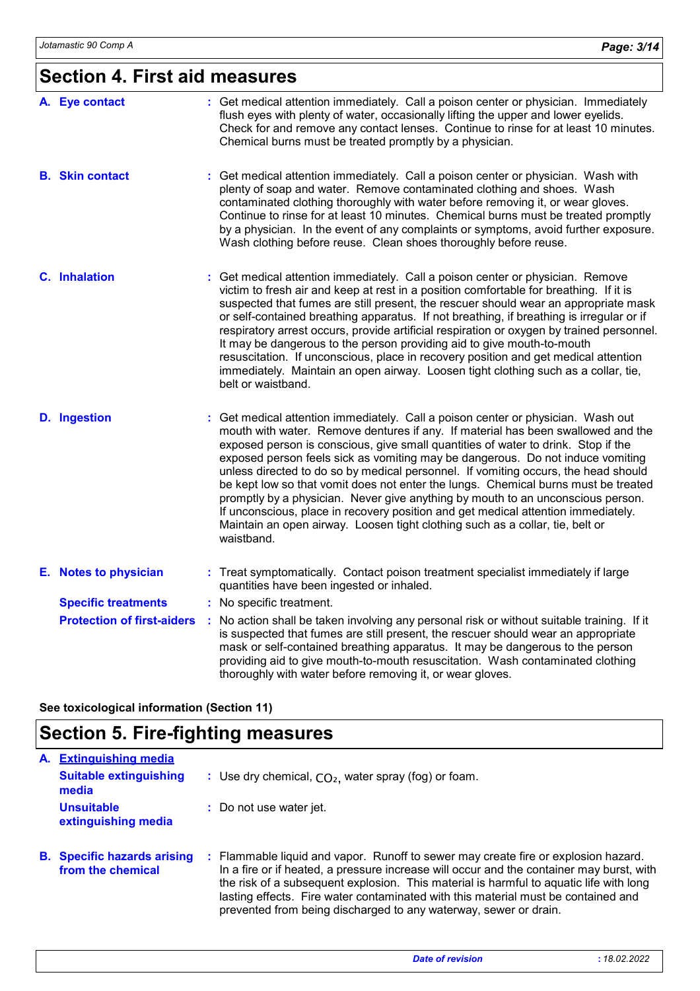# **Section 4. First aid measures**

| A. Eye contact                    | : Get medical attention immediately. Call a poison center or physician. Immediately<br>flush eyes with plenty of water, occasionally lifting the upper and lower eyelids.<br>Check for and remove any contact lenses. Continue to rinse for at least 10 minutes.<br>Chemical burns must be treated promptly by a physician.                                                                                                                                                                                                                                                                                                                                                                                                                                                                    |
|-----------------------------------|------------------------------------------------------------------------------------------------------------------------------------------------------------------------------------------------------------------------------------------------------------------------------------------------------------------------------------------------------------------------------------------------------------------------------------------------------------------------------------------------------------------------------------------------------------------------------------------------------------------------------------------------------------------------------------------------------------------------------------------------------------------------------------------------|
| <b>B.</b> Skin contact            | : Get medical attention immediately. Call a poison center or physician. Wash with<br>plenty of soap and water. Remove contaminated clothing and shoes. Wash<br>contaminated clothing thoroughly with water before removing it, or wear gloves.<br>Continue to rinse for at least 10 minutes. Chemical burns must be treated promptly<br>by a physician. In the event of any complaints or symptoms, avoid further exposure.<br>Wash clothing before reuse. Clean shoes thoroughly before reuse.                                                                                                                                                                                                                                                                                                |
| <b>C.</b> Inhalation              | : Get medical attention immediately. Call a poison center or physician. Remove<br>victim to fresh air and keep at rest in a position comfortable for breathing. If it is<br>suspected that fumes are still present, the rescuer should wear an appropriate mask<br>or self-contained breathing apparatus. If not breathing, if breathing is irregular or if<br>respiratory arrest occurs, provide artificial respiration or oxygen by trained personnel.<br>It may be dangerous to the person providing aid to give mouth-to-mouth<br>resuscitation. If unconscious, place in recovery position and get medical attention<br>immediately. Maintain an open airway. Loosen tight clothing such as a collar, tie,<br>belt or waistband.                                                          |
| <b>D.</b> Ingestion               | : Get medical attention immediately. Call a poison center or physician. Wash out<br>mouth with water. Remove dentures if any. If material has been swallowed and the<br>exposed person is conscious, give small quantities of water to drink. Stop if the<br>exposed person feels sick as vomiting may be dangerous. Do not induce vomiting<br>unless directed to do so by medical personnel. If vomiting occurs, the head should<br>be kept low so that vomit does not enter the lungs. Chemical burns must be treated<br>promptly by a physician. Never give anything by mouth to an unconscious person.<br>If unconscious, place in recovery position and get medical attention immediately.<br>Maintain an open airway. Loosen tight clothing such as a collar, tie, belt or<br>waistband. |
| E. Notes to physician             | : Treat symptomatically. Contact poison treatment specialist immediately if large<br>quantities have been ingested or inhaled.                                                                                                                                                                                                                                                                                                                                                                                                                                                                                                                                                                                                                                                                 |
| <b>Specific treatments</b>        | : No specific treatment.                                                                                                                                                                                                                                                                                                                                                                                                                                                                                                                                                                                                                                                                                                                                                                       |
| <b>Protection of first-aiders</b> | No action shall be taken involving any personal risk or without suitable training. If it<br>is suspected that fumes are still present, the rescuer should wear an appropriate<br>mask or self-contained breathing apparatus. It may be dangerous to the person<br>providing aid to give mouth-to-mouth resuscitation. Wash contaminated clothing<br>thoroughly with water before removing it, or wear gloves.                                                                                                                                                                                                                                                                                                                                                                                  |

**See toxicological information (Section 11)**

# **Section 5. Fire-fighting measures**

| A. | <b>Extinguishing media</b>                              |                                                                                                                                                                                                                                                                                                                                                                                                                                   |
|----|---------------------------------------------------------|-----------------------------------------------------------------------------------------------------------------------------------------------------------------------------------------------------------------------------------------------------------------------------------------------------------------------------------------------------------------------------------------------------------------------------------|
|    | <b>Suitable extinguishing</b><br>media                  | : Use dry chemical, $CO2$ , water spray (fog) or foam.                                                                                                                                                                                                                                                                                                                                                                            |
|    | <b>Unsuitable</b><br>extinguishing media                | : Do not use water jet.                                                                                                                                                                                                                                                                                                                                                                                                           |
|    | <b>B.</b> Specific hazards arising<br>from the chemical | : Flammable liquid and vapor. Runoff to sewer may create fire or explosion hazard.<br>In a fire or if heated, a pressure increase will occur and the container may burst, with<br>the risk of a subsequent explosion. This material is harmful to aquatic life with long<br>lasting effects. Fire water contaminated with this material must be contained and<br>prevented from being discharged to any waterway, sewer or drain. |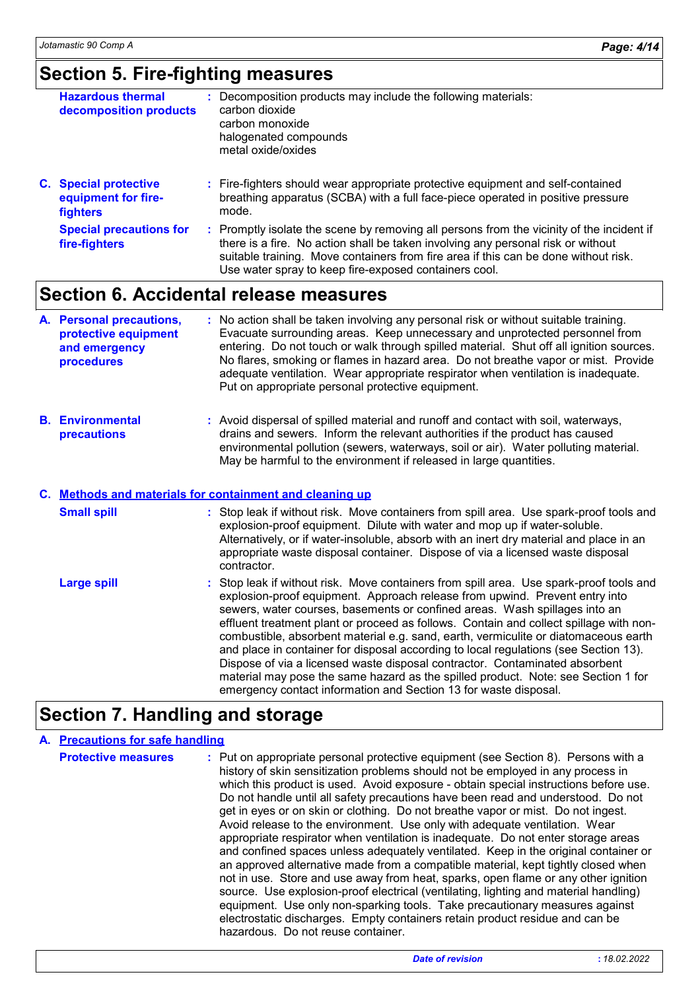### **Section 5. Fire-fighting measures**

| <b>Hazardous thermal</b><br>decomposition products                     | : Decomposition products may include the following materials:<br>carbon dioxide                                                                                                                                                                                      |
|------------------------------------------------------------------------|----------------------------------------------------------------------------------------------------------------------------------------------------------------------------------------------------------------------------------------------------------------------|
|                                                                        | carbon monoxide<br>halogenated compounds<br>metal oxide/oxides                                                                                                                                                                                                       |
| <b>C.</b> Special protective<br>equipment for fire-<br><b>fighters</b> | : Fire-fighters should wear appropriate protective equipment and self-contained<br>breathing apparatus (SCBA) with a full face-piece operated in positive pressure<br>mode.                                                                                          |
| <b>Special precautions for</b><br>fire-fighters                        | : Promptly isolate the scene by removing all persons from the vicinity of the incident if<br>there is a fire. No action shall be taken involving any personal risk or without<br>suitable training. Move containers from fire area if this can be done without risk. |

### **Section 6. Accidental release measures**

|  | A. Personal precautions,<br>protective equipment<br>and emergency<br>procedures | : No action shall be taken involving any personal risk or without suitable training.<br>Evacuate surrounding areas. Keep unnecessary and unprotected personnel from<br>entering. Do not touch or walk through spilled material. Shut off all ignition sources.<br>No flares, smoking or flames in hazard area. Do not breathe vapor or mist. Provide<br>adequate ventilation. Wear appropriate respirator when ventilation is inadequate.<br>Put on appropriate personal protective equipment. |
|--|---------------------------------------------------------------------------------|------------------------------------------------------------------------------------------------------------------------------------------------------------------------------------------------------------------------------------------------------------------------------------------------------------------------------------------------------------------------------------------------------------------------------------------------------------------------------------------------|
|--|---------------------------------------------------------------------------------|------------------------------------------------------------------------------------------------------------------------------------------------------------------------------------------------------------------------------------------------------------------------------------------------------------------------------------------------------------------------------------------------------------------------------------------------------------------------------------------------|

Use water spray to keep fire-exposed containers cool.

**Environmental B. precautions :** Avoid dispersal of spilled material and runoff and contact with soil, waterways, drains and sewers. Inform the relevant authorities if the product has caused environmental pollution (sewers, waterways, soil or air). Water polluting material. May be harmful to the environment if released in large quantities.

#### **Methods and materials for containment and cleaning up C.**

| <b>Small spill</b> | : Stop leak if without risk. Move containers from spill area. Use spark-proof tools and<br>explosion-proof equipment. Dilute with water and mop up if water-soluble.<br>Alternatively, or if water-insoluble, absorb with an inert dry material and place in an<br>appropriate waste disposal container. Dispose of via a licensed waste disposal<br>contractor.                                                                                                                                                                                                                                                                                                                                                                                                      |
|--------------------|-----------------------------------------------------------------------------------------------------------------------------------------------------------------------------------------------------------------------------------------------------------------------------------------------------------------------------------------------------------------------------------------------------------------------------------------------------------------------------------------------------------------------------------------------------------------------------------------------------------------------------------------------------------------------------------------------------------------------------------------------------------------------|
| <b>Large spill</b> | : Stop leak if without risk. Move containers from spill area. Use spark-proof tools and<br>explosion-proof equipment. Approach release from upwind. Prevent entry into<br>sewers, water courses, basements or confined areas. Wash spillages into an<br>effluent treatment plant or proceed as follows. Contain and collect spillage with non-<br>combustible, absorbent material e.g. sand, earth, vermiculite or diatomaceous earth<br>and place in container for disposal according to local regulations (see Section 13).<br>Dispose of via a licensed waste disposal contractor. Contaminated absorbent<br>material may pose the same hazard as the spilled product. Note: see Section 1 for<br>emergency contact information and Section 13 for waste disposal. |

## **Section 7. Handling and storage**

#### **A. Precautions for safe handling**

**Protective measures** : Put on appropriate personal protective equipment (see Section 8). Persons with a history of skin sensitization problems should not be employed in any process in which this product is used. Avoid exposure - obtain special instructions before use. Do not handle until all safety precautions have been read and understood. Do not get in eyes or on skin or clothing. Do not breathe vapor or mist. Do not ingest. Avoid release to the environment. Use only with adequate ventilation. Wear appropriate respirator when ventilation is inadequate. Do not enter storage areas and confined spaces unless adequately ventilated. Keep in the original container or an approved alternative made from a compatible material, kept tightly closed when not in use. Store and use away from heat, sparks, open flame or any other ignition source. Use explosion-proof electrical (ventilating, lighting and material handling) equipment. Use only non-sparking tools. Take precautionary measures against electrostatic discharges. Empty containers retain product residue and can be hazardous. Do not reuse container.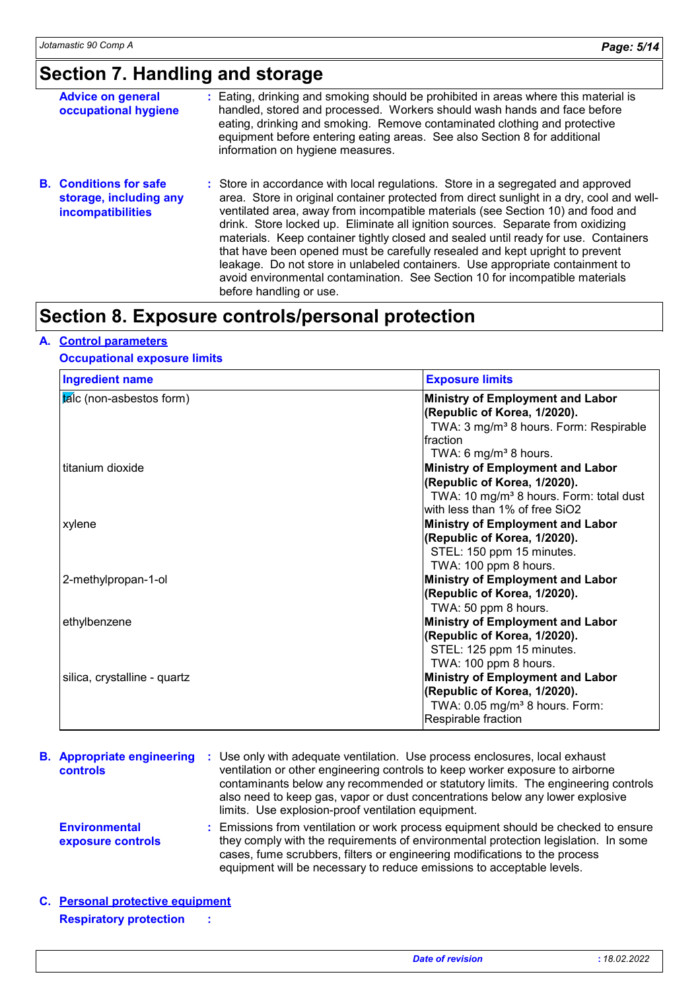# **Section 7. Handling and storage**

| <b>Advice on general</b><br>occupational hygiene                                    | : Eating, drinking and smoking should be prohibited in areas where this material is<br>handled, stored and processed. Workers should wash hands and face before<br>eating, drinking and smoking. Remove contaminated clothing and protective<br>equipment before entering eating areas. See also Section 8 for additional<br>information on hygiene measures.                                                                                                                                                                                                                                                                                                                                                          |
|-------------------------------------------------------------------------------------|------------------------------------------------------------------------------------------------------------------------------------------------------------------------------------------------------------------------------------------------------------------------------------------------------------------------------------------------------------------------------------------------------------------------------------------------------------------------------------------------------------------------------------------------------------------------------------------------------------------------------------------------------------------------------------------------------------------------|
| <b>B.</b> Conditions for safe<br>storage, including any<br><b>incompatibilities</b> | : Store in accordance with local regulations. Store in a segregated and approved<br>area. Store in original container protected from direct sunlight in a dry, cool and well-<br>ventilated area, away from incompatible materials (see Section 10) and food and<br>drink. Store locked up. Eliminate all ignition sources. Separate from oxidizing<br>materials. Keep container tightly closed and sealed until ready for use. Containers<br>that have been opened must be carefully resealed and kept upright to prevent<br>leakage. Do not store in unlabeled containers. Use appropriate containment to<br>avoid environmental contamination. See Section 10 for incompatible materials<br>before handling or use. |

### **Section 8. Exposure controls/personal protection**

#### **A. Control parameters**

#### **Occupational exposure limits**

| <b>Ingredient name</b>       | <b>Exposure limits</b>                              |
|------------------------------|-----------------------------------------------------|
| talc (non-asbestos form)     | <b>Ministry of Employment and Labor</b>             |
|                              | (Republic of Korea, 1/2020).                        |
|                              | TWA: 3 mg/m <sup>3</sup> 8 hours. Form: Respirable  |
|                              | Ifraction                                           |
|                              | TWA: 6 mg/m <sup>3</sup> 8 hours.                   |
| titanium dioxide             | <b>Ministry of Employment and Labor</b>             |
|                              | (Republic of Korea, 1/2020).                        |
|                              | TWA: 10 mg/m <sup>3</sup> 8 hours. Form: total dust |
|                              | with less than 1% of free SiO2                      |
| xylene                       | <b>Ministry of Employment and Labor</b>             |
|                              | (Republic of Korea, 1/2020).                        |
|                              | STEL: 150 ppm 15 minutes.                           |
|                              | TWA: 100 ppm 8 hours.                               |
| 2-methylpropan-1-ol          | Ministry of Employment and Labor                    |
|                              | (Republic of Korea, 1/2020).                        |
|                              | TWA: 50 ppm 8 hours.                                |
| ethylbenzene                 | <b>Ministry of Employment and Labor</b>             |
|                              | (Republic of Korea, 1/2020).                        |
|                              | STEL: 125 ppm 15 minutes.                           |
|                              | TWA: 100 ppm 8 hours.                               |
| silica, crystalline - quartz | <b>Ministry of Employment and Labor</b>             |
|                              | (Republic of Korea, 1/2020).                        |
|                              | TWA: 0.05 mg/m <sup>3</sup> 8 hours. Form:          |
|                              | Respirable fraction                                 |
|                              |                                                     |

| <b>B.</b> Appropriate engineering<br><b>controls</b> | Use only with adequate ventilation. Use process enclosures, local exhaust<br>ventilation or other engineering controls to keep worker exposure to airborne<br>contaminants below any recommended or statutory limits. The engineering controls<br>also need to keep gas, vapor or dust concentrations below any lower explosive<br>limits. Use explosion-proof ventilation equipment. |
|------------------------------------------------------|---------------------------------------------------------------------------------------------------------------------------------------------------------------------------------------------------------------------------------------------------------------------------------------------------------------------------------------------------------------------------------------|
| <b>Environmental</b><br>exposure controls            | : Emissions from ventilation or work process equipment should be checked to ensure<br>they comply with the requirements of environmental protection legislation. In some<br>cases, fume scrubbers, filters or engineering modifications to the process<br>equipment will be necessary to reduce emissions to acceptable levels.                                                       |
| C. Personal protective equipment                     |                                                                                                                                                                                                                                                                                                                                                                                       |

### **Respiratory protection :**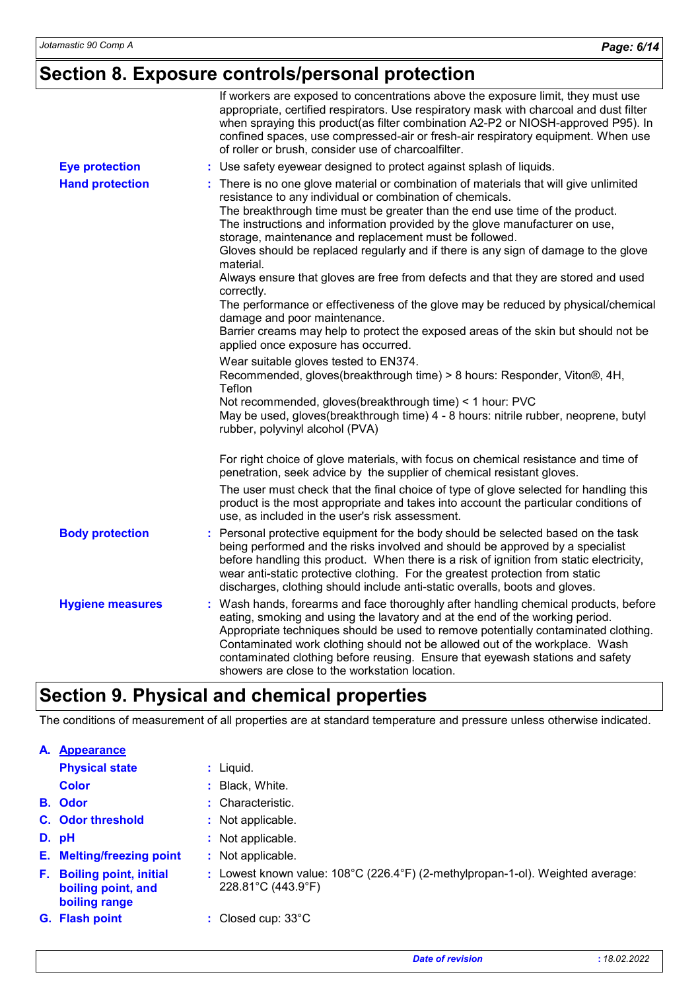# **Section 8. Exposure controls/personal protection**

|                         | If workers are exposed to concentrations above the exposure limit, they must use<br>appropriate, certified respirators. Use respiratory mask with charcoal and dust filter<br>when spraying this product(as filter combination A2-P2 or NIOSH-approved P95). In<br>confined spaces, use compressed-air or fresh-air respiratory equipment. When use<br>of roller or brush, consider use of charcoalfilter.                                                                                                                                                                                                                                                                                                                                                                                                                                                                                                                                                                                                                                                                                                                                             |
|-------------------------|--------------------------------------------------------------------------------------------------------------------------------------------------------------------------------------------------------------------------------------------------------------------------------------------------------------------------------------------------------------------------------------------------------------------------------------------------------------------------------------------------------------------------------------------------------------------------------------------------------------------------------------------------------------------------------------------------------------------------------------------------------------------------------------------------------------------------------------------------------------------------------------------------------------------------------------------------------------------------------------------------------------------------------------------------------------------------------------------------------------------------------------------------------|
| <b>Eye protection</b>   | : Use safety eyewear designed to protect against splash of liquids.                                                                                                                                                                                                                                                                                                                                                                                                                                                                                                                                                                                                                                                                                                                                                                                                                                                                                                                                                                                                                                                                                    |
| <b>Hand protection</b>  | There is no one glove material or combination of materials that will give unlimited<br>resistance to any individual or combination of chemicals.<br>The breakthrough time must be greater than the end use time of the product.<br>The instructions and information provided by the glove manufacturer on use,<br>storage, maintenance and replacement must be followed.<br>Gloves should be replaced regularly and if there is any sign of damage to the glove<br>material.<br>Always ensure that gloves are free from defects and that they are stored and used<br>correctly.<br>The performance or effectiveness of the glove may be reduced by physical/chemical<br>damage and poor maintenance.<br>Barrier creams may help to protect the exposed areas of the skin but should not be<br>applied once exposure has occurred.<br>Wear suitable gloves tested to EN374.<br>Recommended, gloves(breakthrough time) > 8 hours: Responder, Viton®, 4H,<br>Teflon<br>Not recommended, gloves(breakthrough time) < 1 hour: PVC<br>May be used, gloves(breakthrough time) 4 - 8 hours: nitrile rubber, neoprene, butyl<br>rubber, polyvinyl alcohol (PVA) |
|                         | For right choice of glove materials, with focus on chemical resistance and time of<br>penetration, seek advice by the supplier of chemical resistant gloves.                                                                                                                                                                                                                                                                                                                                                                                                                                                                                                                                                                                                                                                                                                                                                                                                                                                                                                                                                                                           |
|                         | The user must check that the final choice of type of glove selected for handling this<br>product is the most appropriate and takes into account the particular conditions of<br>use, as included in the user's risk assessment.                                                                                                                                                                                                                                                                                                                                                                                                                                                                                                                                                                                                                                                                                                                                                                                                                                                                                                                        |
| <b>Body protection</b>  | : Personal protective equipment for the body should be selected based on the task<br>being performed and the risks involved and should be approved by a specialist<br>before handling this product. When there is a risk of ignition from static electricity,<br>wear anti-static protective clothing. For the greatest protection from static<br>discharges, clothing should include anti-static overalls, boots and gloves.                                                                                                                                                                                                                                                                                                                                                                                                                                                                                                                                                                                                                                                                                                                          |
| <b>Hygiene measures</b> | Wash hands, forearms and face thoroughly after handling chemical products, before<br>t.<br>eating, smoking and using the lavatory and at the end of the working period.<br>Appropriate techniques should be used to remove potentially contaminated clothing.<br>Contaminated work clothing should not be allowed out of the workplace. Wash<br>contaminated clothing before reusing. Ensure that eyewash stations and safety<br>showers are close to the workstation location.                                                                                                                                                                                                                                                                                                                                                                                                                                                                                                                                                                                                                                                                        |

# **Section 9. Physical and chemical properties**

The conditions of measurement of all properties are at standard temperature and pressure unless otherwise indicated.

| A. | <b>Appearance</b>                                                    |                                                                                                                           |
|----|----------------------------------------------------------------------|---------------------------------------------------------------------------------------------------------------------------|
|    | <b>Physical state</b>                                                | : Liquid.                                                                                                                 |
|    | <b>Color</b>                                                         | : Black, White.                                                                                                           |
|    | <b>B.</b> Odor                                                       | : Characteristic.                                                                                                         |
|    | C. Odor threshold                                                    | : Not applicable.                                                                                                         |
|    | D. pH                                                                | : Not applicable.                                                                                                         |
| Е. | <b>Melting/freezing point</b>                                        | : Not applicable.                                                                                                         |
| F. | <b>Boiling point, initial</b><br>boiling point, and<br>boiling range | : Lowest known value: $108^{\circ}$ C (226.4 $^{\circ}$ F) (2-methylpropan-1-ol). Weighted average:<br>228.81°C (443.9°F) |
|    | G. Flash point                                                       | : Closed cup: $33^{\circ}$ C                                                                                              |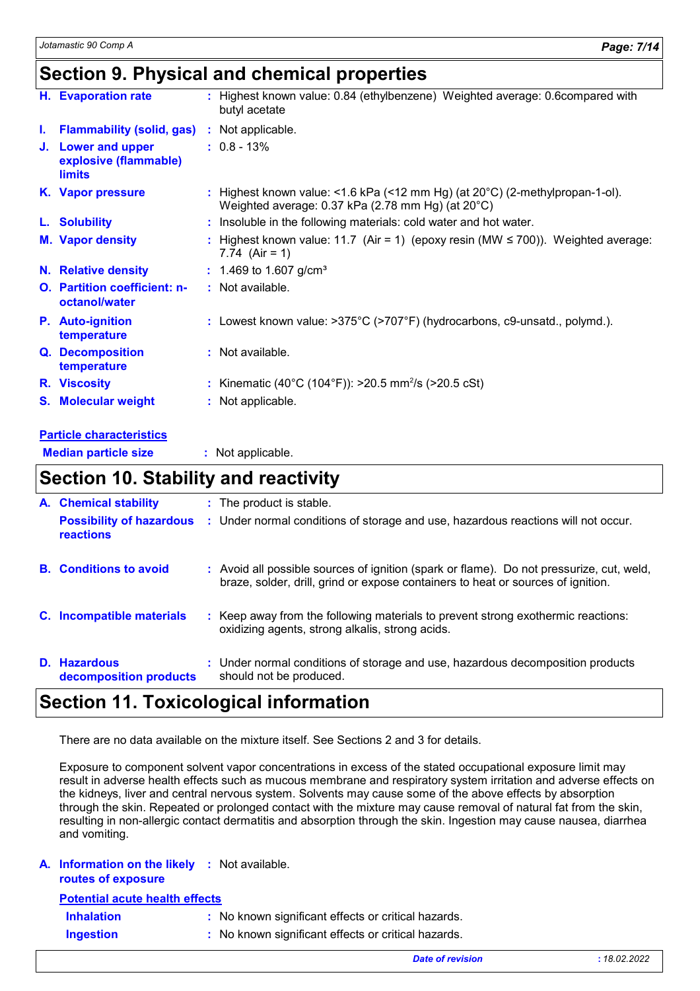### **Section 9. Physical and chemical properties**

|    | H. Evaporation rate                                          | : Highest known value: 0.84 (ethylbenzene) Weighted average: 0.6compared with<br>butyl acetate                                              |
|----|--------------------------------------------------------------|---------------------------------------------------------------------------------------------------------------------------------------------|
| L. | <b>Flammability (solid, gas)</b>                             | : Not applicable.                                                                                                                           |
|    | J. Lower and upper<br>explosive (flammable)<br><b>limits</b> | $: 0.8 - 13\%$                                                                                                                              |
|    | K. Vapor pressure                                            | : Highest known value: <1.6 kPa (<12 mm Hg) (at $20^{\circ}$ C) (2-methylpropan-1-ol).<br>Weighted average: 0.37 kPa (2.78 mm Hg) (at 20°C) |
|    | L. Solubility                                                | : Insoluble in the following materials: cold water and hot water.                                                                           |
|    | <b>M.</b> Vapor density                                      | : Highest known value: 11.7 (Air = 1) (epoxy resin (MW $\leq$ 700)). Weighted average:<br>7.74 $(Air = 1)$                                  |
|    | <b>N.</b> Relative density                                   | $: 1.469$ to 1.607 g/cm <sup>3</sup>                                                                                                        |
|    | <b>O.</b> Partition coefficient: n-<br>octanol/water         | : Not available.                                                                                                                            |
|    | <b>P.</b> Auto-ignition<br>temperature                       | : Lowest known value: >375°C (>707°F) (hydrocarbons, c9-unsatd., polymd.).                                                                  |
|    | Q. Decomposition<br>temperature                              | : Not available.                                                                                                                            |
|    | R. Viscosity                                                 | : Kinematic (40°C (104°F)): >20.5 mm <sup>2</sup> /s (>20.5 cSt)                                                                            |
|    | <b>S. Molecular weight</b>                                   | : Not applicable.                                                                                                                           |
|    | Project of a confidence of a character                       |                                                                                                                                             |

#### **Particle characteristics**

**Median particle size :** Not applicable.

### **Section 10. Stability and reactivity**

| A. Chemical stability                        | : The product is stable.                                                                                                                                                     |
|----------------------------------------------|------------------------------------------------------------------------------------------------------------------------------------------------------------------------------|
| <b>Possibility of hazardous</b><br>reactions | : Under normal conditions of storage and use, hazardous reactions will not occur.                                                                                            |
| <b>B.</b> Conditions to avoid                | : Avoid all possible sources of ignition (spark or flame). Do not pressurize, cut, weld,<br>braze, solder, drill, grind or expose containers to heat or sources of ignition. |
| C. Incompatible materials                    | : Keep away from the following materials to prevent strong exothermic reactions:<br>oxidizing agents, strong alkalis, strong acids.                                          |
| D. Hazardous<br>decomposition products       | : Under normal conditions of storage and use, hazardous decomposition products<br>should not be produced.                                                                    |

### **Section 11. Toxicological information**

There are no data available on the mixture itself. See Sections 2 and 3 for details.

Exposure to component solvent vapor concentrations in excess of the stated occupational exposure limit may result in adverse health effects such as mucous membrane and respiratory system irritation and adverse effects on the kidneys, liver and central nervous system. Solvents may cause some of the above effects by absorption through the skin. Repeated or prolonged contact with the mixture may cause removal of natural fat from the skin, resulting in non-allergic contact dermatitis and absorption through the skin. Ingestion may cause nausea, diarrhea and vomiting.

#### **A. Information on the likely :** Not available.

| routes of exposure |  |
|--------------------|--|
|--------------------|--|

**Potential acute health effects**

| <b>Inhalation</b> | : No known significant effects or critical hazards. |
|-------------------|-----------------------------------------------------|
|                   |                                                     |

**Ingestion :** No known significant effects or critical hazards.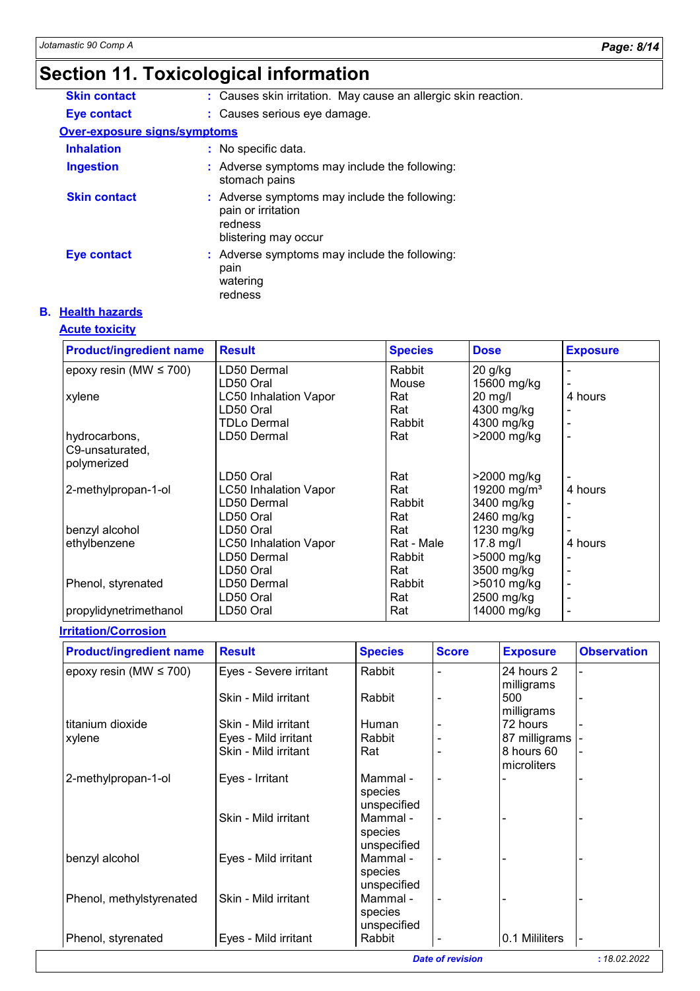# **Section 11. Toxicological information**

| <b>Skin contact</b>          | : Causes skin irritation. May cause an allergic skin reaction.                                         |
|------------------------------|--------------------------------------------------------------------------------------------------------|
| Eye contact                  | : Causes serious eye damage.                                                                           |
| Over-exposure signs/symptoms |                                                                                                        |
| <b>Inhalation</b>            | : No specific data.                                                                                    |
| <b>Ingestion</b>             | : Adverse symptoms may include the following:<br>stomach pains                                         |
| <b>Skin contact</b>          | : Adverse symptoms may include the following:<br>pain or irritation<br>redness<br>blistering may occur |
| <b>Eye contact</b>           | : Adverse symptoms may include the following:<br>pain<br>watering<br>redness                           |

#### **B. Health hazards**

#### **Acute toxicity**

| <b>Product/ingredient name</b> | <b>Result</b>                | <b>Species</b> | <b>Dose</b>             | <b>Exposure</b>          |
|--------------------------------|------------------------------|----------------|-------------------------|--------------------------|
| epoxy resin (MW $\leq$ 700)    | LD50 Dermal                  | Rabbit         | 20 g/kg                 |                          |
|                                | LD50 Oral                    | Mouse          | 15600 mg/kg             |                          |
| xylene                         | <b>LC50 Inhalation Vapor</b> | Rat            | $20$ mg/l               | 4 hours                  |
|                                | LD50 Oral                    | Rat            | 4300 mg/kg              |                          |
|                                | TDLo Dermal                  | Rabbit         | 4300 mg/kg              |                          |
| hydrocarbons,                  | LD50 Dermal                  | Rat            | >2000 mg/kg             |                          |
| C9-unsaturated,                |                              |                |                         |                          |
| polymerized                    |                              |                |                         |                          |
|                                | LD50 Oral                    | Rat            | >2000 mg/kg             |                          |
| 2-methylpropan-1-ol            | <b>LC50 Inhalation Vapor</b> | Rat            | 19200 mg/m <sup>3</sup> | 4 hours                  |
|                                | LD50 Dermal                  | Rabbit         | 3400 mg/kg              |                          |
|                                | LD50 Oral                    | Rat            | 2460 mg/kg              |                          |
| benzyl alcohol                 | LD50 Oral                    | Rat            | 1230 mg/kg              |                          |
| ethylbenzene                   | <b>LC50 Inhalation Vapor</b> | Rat - Male     | $17.8$ mg/l             | 4 hours                  |
|                                | LD50 Dermal                  | Rabbit         | >5000 mg/kg             |                          |
|                                | LD50 Oral                    | Rat            | 3500 mg/kg              |                          |
| Phenol, styrenated             | LD50 Dermal                  | Rabbit         | >5010 mg/kg             | $\overline{\phantom{a}}$ |
|                                | LD50 Oral                    | Rat            | 2500 mg/kg              |                          |
| propylidynetrimethanol         | LD50 Oral                    | Rat            | 14000 mg/kg             |                          |

#### **Irritation/Corrosion**

| <b>Product/ingredient name</b> | <b>Result</b>          | <b>Species</b>                     | <b>Score</b> | <b>Exposure</b>                 | <b>Observation</b> |
|--------------------------------|------------------------|------------------------------------|--------------|---------------------------------|--------------------|
| epoxy resin (MW $\leq$ 700)    | Eyes - Severe irritant | Rabbit                             |              | 24 hours 2                      |                    |
|                                | Skin - Mild irritant   | Rabbit                             |              | milligrams<br>500<br>milligrams |                    |
| titanium dioxide               | Skin - Mild irritant   | Human                              |              | 72 hours                        |                    |
| xylene                         | Eyes - Mild irritant   | Rabbit                             |              | 87 milligrams                   |                    |
|                                | Skin - Mild irritant   | Rat                                |              | 8 hours 60<br>microliters       |                    |
| 2-methylpropan-1-ol            | Eyes - Irritant        | Mammal-<br>species<br>unspecified  | ۰            |                                 |                    |
|                                | Skin - Mild irritant   | Mammal -<br>species<br>unspecified |              |                                 |                    |
| benzyl alcohol                 | Eyes - Mild irritant   | Mammal-<br>species<br>unspecified  |              |                                 |                    |
| Phenol, methylstyrenated       | Skin - Mild irritant   | Mammal -<br>species<br>unspecified |              |                                 |                    |
| Phenol, styrenated             | Eyes - Mild irritant   | Rabbit                             |              | 0.1 Mililiters                  |                    |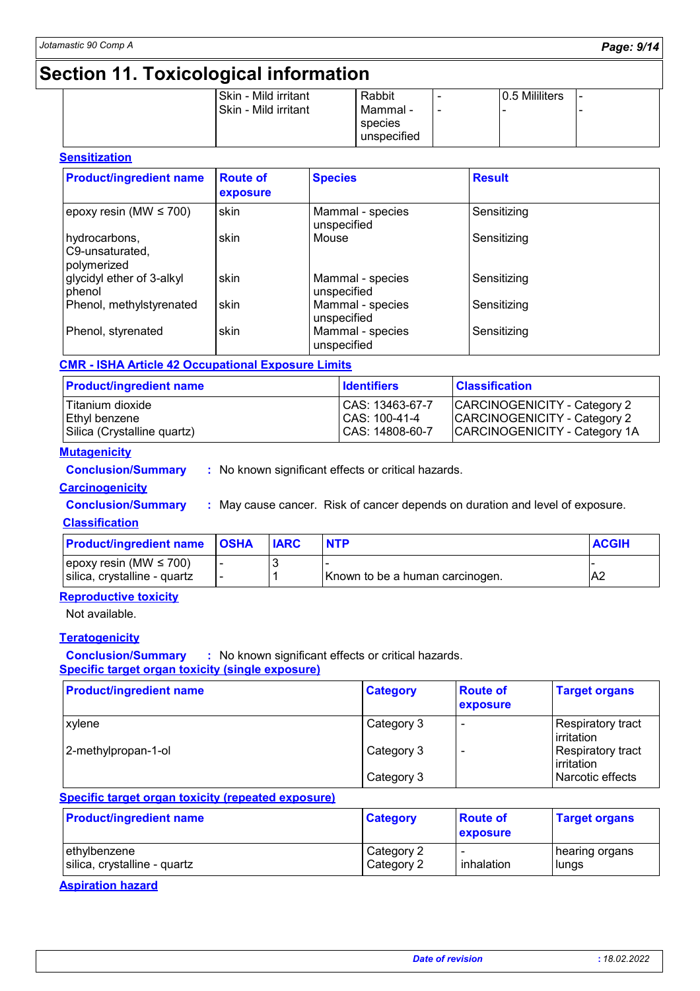# **Section 11. Toxicological information**

|  | Skin - Mild irritant   | Rabbit      | - | 0.5 Mililiters | . . |
|--|------------------------|-------------|---|----------------|-----|
|  | l Skin - Mild irritant | Mammal -    |   |                |     |
|  |                        | species     |   |                |     |
|  |                        | unspecified |   |                |     |
|  |                        |             |   |                |     |

#### **Sensitization**

| <b>Product/ingredient name</b>                  | <b>Route of</b><br>exposure | <b>Species</b>                  | <b>Result</b> |
|-------------------------------------------------|-----------------------------|---------------------------------|---------------|
| epoxy resin (MW $\leq$ 700)                     | skin                        | Mammal - species<br>unspecified | Sensitizing   |
| hydrocarbons,<br>C9-unsaturated,<br>polymerized | skin                        | Mouse                           | Sensitizing   |
| glycidyl ether of 3-alkyl<br>phenol             | skin                        | Mammal - species<br>unspecified | Sensitizing   |
| Phenol, methylstyrenated                        | skin                        | Mammal - species<br>unspecified | Sensitizing   |
| Phenol, styrenated                              | skin                        | Mammal - species<br>unspecified | Sensitizing   |

#### **CMR - ISHA Article 42 Occupational Exposure Limits**

| <b>Product/ingredient name</b> | <b>Identifiers</b> | <b>Classification</b>         |
|--------------------------------|--------------------|-------------------------------|
| Titanium dioxide               | CAS: 13463-67-7    | CARCINOGENICITY - Category 2  |
| Ethyl benzene                  | CAS: 100-41-4      | CARCINOGENICITY - Category 2  |
| Silica (Crystalline quartz)    | CAS: 14808-60-7    | CARCINOGENICITY - Category 1A |

#### **Mutagenicity**

**Conclusion/Summary :** No known significant effects or critical hazards.

### **Carcinogenicity**

**Conclusion/Summary :** May cause cancer. Risk of cancer depends on duration and level of exposure.

#### **Classification**

| <b>Product/ingredient name OSHA</b> | <b>IARC</b> |                                 | <b>ACGIH</b> |
|-------------------------------------|-------------|---------------------------------|--------------|
| $ epoxy$ resin (MW $\leq$ 700)      |             |                                 |              |
| silica, crystalline - quartz        |             | Known to be a human carcinogen. | A2           |

### **Reproductive toxicity**

Not available.

### **Teratogenicity**

**Conclusion/Summary :** No known significant effects or critical hazards.

#### **Specific target organ toxicity (single exposure)**

| <b>Product/ingredient name</b> | <b>Category</b> | <b>Route of</b><br><b>exposure</b> | <b>Target organs</b>                    |
|--------------------------------|-----------------|------------------------------------|-----------------------------------------|
| xylene                         | Category 3      | $\overline{\phantom{a}}$           | Respiratory tract<br><b>lirritation</b> |
| 2-methylpropan-1-ol            | Category 3      |                                    | Respiratory tract<br><b>lirritation</b> |
|                                | Category 3      |                                    | Narcotic effects                        |

#### **Specific target organ toxicity (repeated exposure)**

| <b>Product/ingredient name</b> | <b>Category</b> | <b>Route of</b><br><b>exposure</b> | <b>Target organs</b> |
|--------------------------------|-----------------|------------------------------------|----------------------|
| ethylbenzene                   | Category 2      | inhalation                         | hearing organs       |
| silica, crystalline - quartz   | Category 2      |                                    | lungs                |

**Aspiration hazard**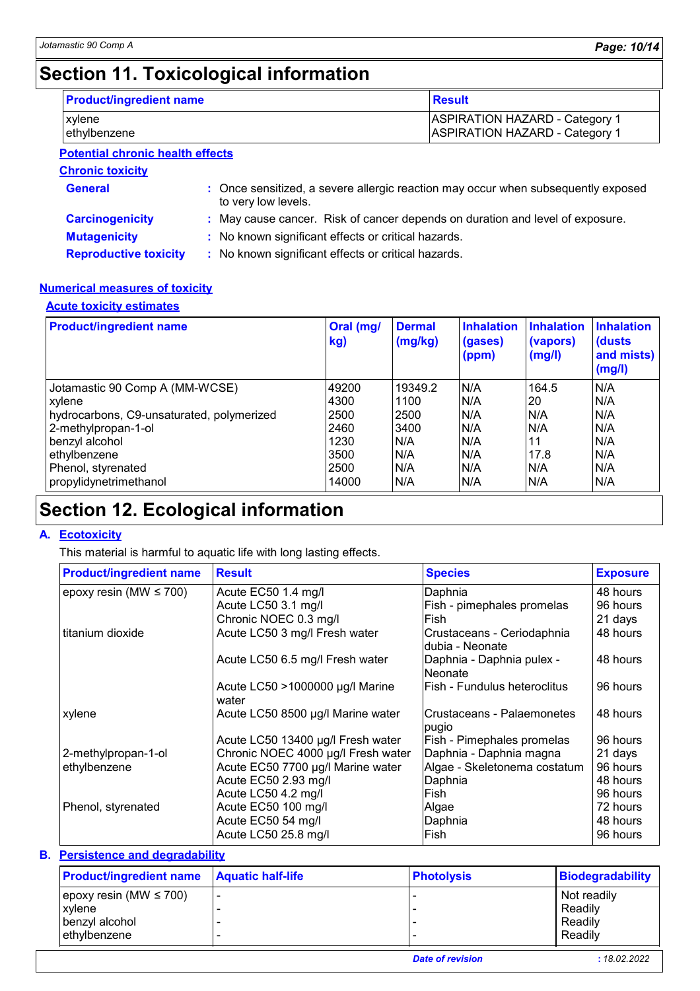# **Section 11. Toxicological information**

| <b>Product/ingredient name</b>   | <b>Result</b>                                                                  |
|----------------------------------|--------------------------------------------------------------------------------|
| <b>xvlene</b><br>lethylbenzene   | <b>ASPIRATION HAZARD - Category 1</b><br><b>ASPIRATION HAZARD - Category 1</b> |
| Dotantial chronic hoalth offects |                                                                                |

**Chronic toxicity Potential chronic health effects**

| <b>Chronic toxicity</b>      |                                                                                                          |
|------------------------------|----------------------------------------------------------------------------------------------------------|
| <b>General</b>               | : Once sensitized, a severe allergic reaction may occur when subsequently exposed<br>to very low levels. |
| <b>Carcinogenicity</b>       | : May cause cancer. Risk of cancer depends on duration and level of exposure.                            |
| <b>Mutagenicity</b>          | : No known significant effects or critical hazards.                                                      |
| <b>Reproductive toxicity</b> | : No known significant effects or critical hazards.                                                      |

#### **Numerical measures of toxicity**

#### **Acute toxicity estimates**

| <b>Product/ingredient name</b>            | Oral (mg/<br>kg) | <b>Dermal</b><br>$\frac{mg}{kg}$ | <b>Inhalation</b><br>(gases)<br>(ppm) | <b>Inhalation</b><br>(vapors)<br>(mg/l) | <b>Inhalation</b><br>(dusts)<br>and mists)<br>(mg/l) |
|-------------------------------------------|------------------|----------------------------------|---------------------------------------|-----------------------------------------|------------------------------------------------------|
| Jotamastic 90 Comp A (MM-WCSE)            | 49200            | 19349.2                          | N/A                                   | 164.5                                   | N/A                                                  |
| xylene                                    | 4300             | 1100                             | N/A                                   | 20                                      | N/A                                                  |
| hydrocarbons, C9-unsaturated, polymerized | 2500             | 2500                             | N/A                                   | N/A                                     | N/A                                                  |
| 2-methylpropan-1-ol                       | 2460             | 3400                             | N/A                                   | N/A                                     | N/A                                                  |
| benzyl alcohol                            | 1230             | N/A                              | N/A                                   | 11                                      | N/A                                                  |
| ethylbenzene                              | 3500             | N/A                              | N/A                                   | 17.8                                    | N/A                                                  |
| Phenol, styrenated                        | 2500             | N/A                              | N/A                                   | N/A                                     | N/A                                                  |
| propylidynetrimethanol                    | 14000            | N/A                              | N/A                                   | N/A                                     | N/A                                                  |

# **Section 12. Ecological information**

#### **A. Ecotoxicity**

This material is harmful to aquatic life with long lasting effects.

| <b>Product/ingredient name</b> | <b>Result</b>                            | <b>Species</b>                                 | <b>Exposure</b> |
|--------------------------------|------------------------------------------|------------------------------------------------|-----------------|
| epoxy resin (MW $\leq$ 700)    | Acute EC50 1.4 mg/l                      | Daphnia                                        | 48 hours        |
|                                | Acute LC50 3.1 mg/l                      | Fish - pimephales promelas                     | 96 hours        |
|                                | Chronic NOEC 0.3 mg/l                    | lFish.                                         | 21 days         |
| titanium dioxide               | Acute LC50 3 mg/l Fresh water            | Crustaceans - Ceriodaphnia<br>Idubia - Neonate | 48 hours        |
|                                | Acute LC50 6.5 mg/l Fresh water          | Daphnia - Daphnia pulex -<br>lNeonate          | 48 hours        |
|                                | Acute LC50 >1000000 µg/l Marine<br>water | lFish - Fundulus heteroclitus                  | 96 hours        |
| xylene                         | Acute LC50 8500 µg/l Marine water        | lCrustaceans - Palaemonetes<br>pugio           | 48 hours        |
|                                | Acute LC50 13400 µg/l Fresh water        | Fish - Pimephales promelas                     | 96 hours        |
| 2-methylpropan-1-ol            | Chronic NOEC 4000 µg/l Fresh water       | Daphnia - Daphnia magna                        | 21 days         |
| ethylbenzene                   | Acute EC50 7700 µg/l Marine water        | Algae - Skeletonema costatum                   | 96 hours        |
|                                | Acute EC50 2.93 mg/l                     | Daphnia                                        | 48 hours        |
|                                | Acute LC50 4.2 mg/l                      | Fish                                           | 96 hours        |
| Phenol, styrenated             | Acute EC50 100 mg/l                      | Algae                                          | 72 hours        |
|                                | Acute EC50 54 mg/l                       | Daphnia                                        | 48 hours        |
|                                | Acute LC50 25.8 mg/l                     | Fish                                           | 96 hours        |

#### **Persistence and degradability B.**

| <b>Product/ingredient name</b> | <b>Aquatic half-life</b> | <b>Photolysis</b> | <b>Biodegradability</b> |
|--------------------------------|--------------------------|-------------------|-------------------------|
| epoxy resin (MW $\leq 700$ )   |                          |                   | Not readily             |
| xylene                         |                          |                   | Readily                 |
| benzyl alcohol                 |                          |                   | Readily                 |
| l ethvlbenzene                 |                          |                   | Readily                 |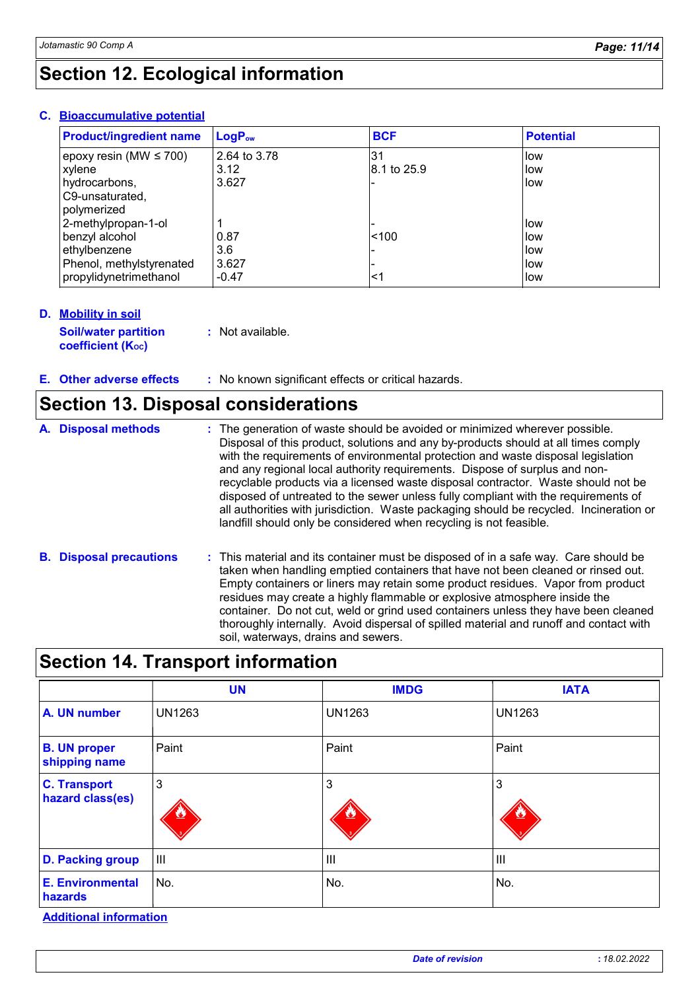| <b>Product/ingredient name</b> | <b>LogPow</b> | <b>BCF</b>   | <b>Potential</b> |
|--------------------------------|---------------|--------------|------------------|
| epoxy resin (MW $\leq$ 700)    | 2.64 to 3.78  | 31           | llow             |
| xylene                         | 3.12          | 18.1 to 25.9 | low              |
| hydrocarbons,                  | 3.627         |              | low              |
| C9-unsaturated,                |               |              |                  |
| polymerized                    |               |              |                  |
| 2-methylpropan-1-ol            |               |              | llow             |
| benzyl alcohol                 | 0.87          | < 100        | low              |
| ethylbenzene                   | 3.6           |              | low              |
| Phenol, methylstyrenated       | 3.627         |              | low              |
| propylidynetrimethanol         | $-0.47$       | <1           | llow             |

#### **Bioaccumulative potential C.**

#### **Mobility in soil D.**

**Soil/water partition coefficient (Koc) :** Not available.

#### **:** No known significant effects or critical hazards. **E.**

### **Section 13. Disposal considerations**

| A. Disposal methods            | : The generation of waste should be avoided or minimized wherever possible.<br>Disposal of this product, solutions and any by-products should at all times comply<br>with the requirements of environmental protection and waste disposal legislation<br>and any regional local authority requirements. Dispose of surplus and non-<br>recyclable products via a licensed waste disposal contractor. Waste should not be<br>disposed of untreated to the sewer unless fully compliant with the requirements of<br>all authorities with jurisdiction. Waste packaging should be recycled. Incineration or<br>landfill should only be considered when recycling is not feasible. |
|--------------------------------|--------------------------------------------------------------------------------------------------------------------------------------------------------------------------------------------------------------------------------------------------------------------------------------------------------------------------------------------------------------------------------------------------------------------------------------------------------------------------------------------------------------------------------------------------------------------------------------------------------------------------------------------------------------------------------|
| <b>B.</b> Disposal precautions | : This material and its container must be disposed of in a safe way. Care should be<br>taken when handling emptied containers that have not been cleaned or rinsed out                                                                                                                                                                                                                                                                                                                                                                                                                                                                                                         |

#### ed containers that have n Empty containers or liners may retain some product residues. Vapor from product residues may create a highly flammable or explosive atmosphere inside the container. Do not cut, weld or grind used containers unless they have been cleaned thoroughly internally. Avoid dispersal of spilled material and runoff and contact with soil, waterways, drains and sewers.

|                                         | <b>UN</b>      | <b>IMDG</b>    | <b>IATA</b>   |
|-----------------------------------------|----------------|----------------|---------------|
| A. UN number                            | <b>UN1263</b>  | <b>UN1263</b>  | <b>UN1263</b> |
| <b>B. UN proper</b><br>shipping name    | Paint          | Paint          | Paint         |
| <b>C. Transport</b><br>hazard class(es) | 3              | 3              | 3             |
| <b>D. Packing group</b>                 | $\mathbf{III}$ | $\mathbf{III}$ | Ш             |
| <b>E. Environmental</b><br>hazards      | No.            | No.            | No.           |

#### **Additional information**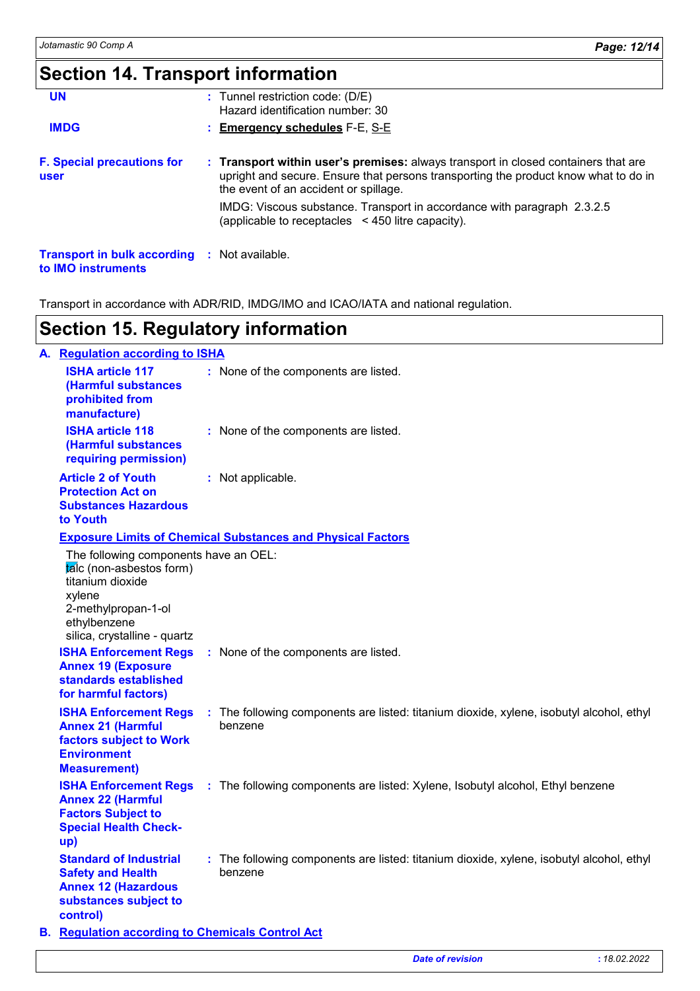# **Section 14. Transport information**

| <b>UN</b>                                                                 | $:$ Tunnel restriction code: (D/E)<br>Hazard identification number: 30                                                                                                                                             |
|---------------------------------------------------------------------------|--------------------------------------------------------------------------------------------------------------------------------------------------------------------------------------------------------------------|
| <b>IMDG</b>                                                               | : Emergency schedules F-E, S-E                                                                                                                                                                                     |
| <b>F. Special precautions for</b><br><b>user</b>                          | : Transport within user's premises: always transport in closed containers that are<br>upright and secure. Ensure that persons transporting the product know what to do in<br>the event of an accident or spillage. |
|                                                                           | IMDG: Viscous substance. Transport in accordance with paragraph 2.3.2.5<br>(applicable to receptacles $\leq$ 450 litre capacity).                                                                                  |
| <b>Transport in bulk according : Not available.</b><br>to IMO instruments |                                                                                                                                                                                                                    |

Transport in accordance with ADR/RID, IMDG/IMO and ICAO/IATA and national regulation.

### **Section 15. Regulatory information**

| A. Regulation according to ISHA                                                                                                                                        |  |                                                                                                     |  |  |
|------------------------------------------------------------------------------------------------------------------------------------------------------------------------|--|-----------------------------------------------------------------------------------------------------|--|--|
| <b>ISHA article 117</b><br>(Harmful substances<br>prohibited from<br>manufacture)                                                                                      |  | : None of the components are listed.                                                                |  |  |
| <b>ISHA article 118</b><br>(Harmful substances<br>requiring permission)                                                                                                |  | : None of the components are listed.                                                                |  |  |
| <b>Article 2 of Youth</b><br><b>Protection Act on</b><br><b>Substances Hazardous</b><br>to Youth                                                                       |  | : Not applicable.                                                                                   |  |  |
| <b>Exposure Limits of Chemical Substances and Physical Factors</b>                                                                                                     |  |                                                                                                     |  |  |
| The following components have an OEL:<br>talc (non-asbestos form)<br>titanium dioxide<br>xylene<br>2-methylpropan-1-ol<br>ethylbenzene<br>silica, crystalline - quartz |  |                                                                                                     |  |  |
| <b>ISHA Enforcement Regs</b><br><b>Annex 19 (Exposure</b><br>standards established<br>for harmful factors)                                                             |  | : None of the components are listed.                                                                |  |  |
| <b>ISHA Enforcement Regs</b><br><b>Annex 21 (Harmful</b><br>factors subject to Work<br><b>Environment</b><br><b>Measurement)</b>                                       |  | : The following components are listed: titanium dioxide, xylene, isobutyl alcohol, ethyl<br>benzene |  |  |
| <b>ISHA Enforcement Regs</b><br><b>Annex 22 (Harmful</b><br><b>Factors Subject to</b><br><b>Special Health Check-</b><br>up)                                           |  | : The following components are listed: Xylene, Isobutyl alcohol, Ethyl benzene                      |  |  |
| <b>Standard of Industrial</b><br><b>Safety and Health</b><br><b>Annex 12 (Hazardous</b><br>substances subject to<br>control)                                           |  | : The following components are listed: titanium dioxide, xylene, isobutyl alcohol, ethyl<br>benzene |  |  |
| <b>B.</b> Regulation according to Chemicals Control Act                                                                                                                |  |                                                                                                     |  |  |

*Date of revision* **:** *18.02.2022*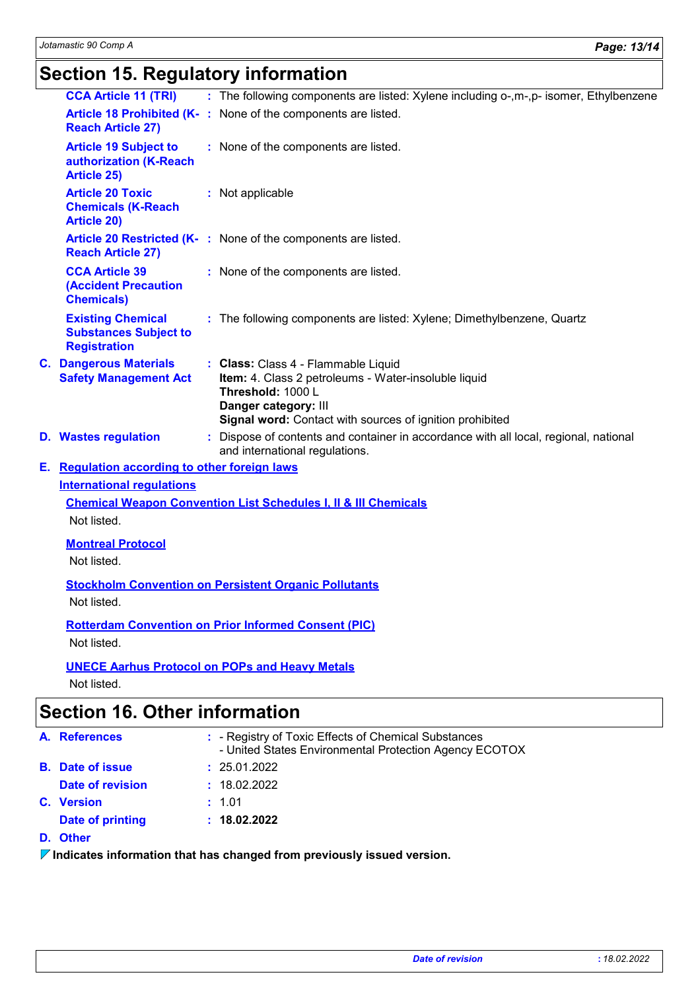# **Section 15. Regulatory information**

| <b>CCA Article 11 (TRI)</b>                                                     |                                                                                          | : The following components are listed: Xylene including o-,m-,p- isomer, Ethylbenzene                                                                                                                |  |
|---------------------------------------------------------------------------------|------------------------------------------------------------------------------------------|------------------------------------------------------------------------------------------------------------------------------------------------------------------------------------------------------|--|
| <b>Reach Article 27)</b>                                                        |                                                                                          | Article 18 Prohibited (K-: None of the components are listed.                                                                                                                                        |  |
| <b>Article 19 Subject to</b><br>authorization (K-Reach<br><b>Article 25)</b>    |                                                                                          | : None of the components are listed.                                                                                                                                                                 |  |
| <b>Article 20 Toxic</b><br><b>Chemicals (K-Reach</b><br><b>Article 20)</b>      |                                                                                          | : Not applicable                                                                                                                                                                                     |  |
| <b>Reach Article 27)</b>                                                        |                                                                                          | Article 20 Restricted (K-: None of the components are listed.                                                                                                                                        |  |
| <b>CCA Article 39</b><br><b>(Accident Precaution</b><br><b>Chemicals</b> )      |                                                                                          | : None of the components are listed.                                                                                                                                                                 |  |
| <b>Existing Chemical</b><br><b>Substances Subject to</b><br><b>Registration</b> |                                                                                          | : The following components are listed: Xylene; Dimethylbenzene, Quartz                                                                                                                               |  |
| <b>Safety Management Act</b>                                                    |                                                                                          | : Class: Class 4 - Flammable Liquid<br>Item: 4. Class 2 petroleums - Water-insoluble liquid<br>Threshold: 1000 L<br>Danger category: III<br>Signal word: Contact with sources of ignition prohibited |  |
|                                                                                 |                                                                                          | : Dispose of contents and container in accordance with all local, regional, national<br>and international regulations.                                                                               |  |
|                                                                                 |                                                                                          |                                                                                                                                                                                                      |  |
| <b>International regulations</b>                                                |                                                                                          |                                                                                                                                                                                                      |  |
|                                                                                 |                                                                                          | <b>Chemical Weapon Convention List Schedules I, II &amp; III Chemicals</b>                                                                                                                           |  |
| Not listed.                                                                     |                                                                                          |                                                                                                                                                                                                      |  |
|                                                                                 |                                                                                          |                                                                                                                                                                                                      |  |
| Not listed.                                                                     |                                                                                          |                                                                                                                                                                                                      |  |
|                                                                                 |                                                                                          | <b>Stockholm Convention on Persistent Organic Pollutants</b>                                                                                                                                         |  |
| Not listed.                                                                     |                                                                                          |                                                                                                                                                                                                      |  |
| <b>Rotterdam Convention on Prior Informed Consent (PIC)</b>                     |                                                                                          |                                                                                                                                                                                                      |  |
| Not listed.                                                                     |                                                                                          |                                                                                                                                                                                                      |  |
| Not listed.                                                                     |                                                                                          |                                                                                                                                                                                                      |  |
|                                                                                 | <b>C. Dangerous Materials</b><br><b>D.</b> Wastes regulation<br><b>Montreal Protocol</b> | E. Regulation according to other foreign laws<br><b>UNECE Aarhus Protocol on POPs and Heavy Metals</b>                                                                                               |  |

# **Section 16. Other information**

| A. References           | : - Registry of Toxic Effects of Chemical Substances<br>- United States Environmental Protection Agency ECOTOX |
|-------------------------|----------------------------------------------------------------------------------------------------------------|
| <b>B.</b> Date of issue | : 25.01.2022                                                                                                   |
| Date of revision        | : 18.02.2022                                                                                                   |
| <b>C.</b> Version       | : 1.01                                                                                                         |
| Date of printing        | : 18.02.2022                                                                                                   |

#### **D. Other**

**Indicates information that has changed from previously issued version.**